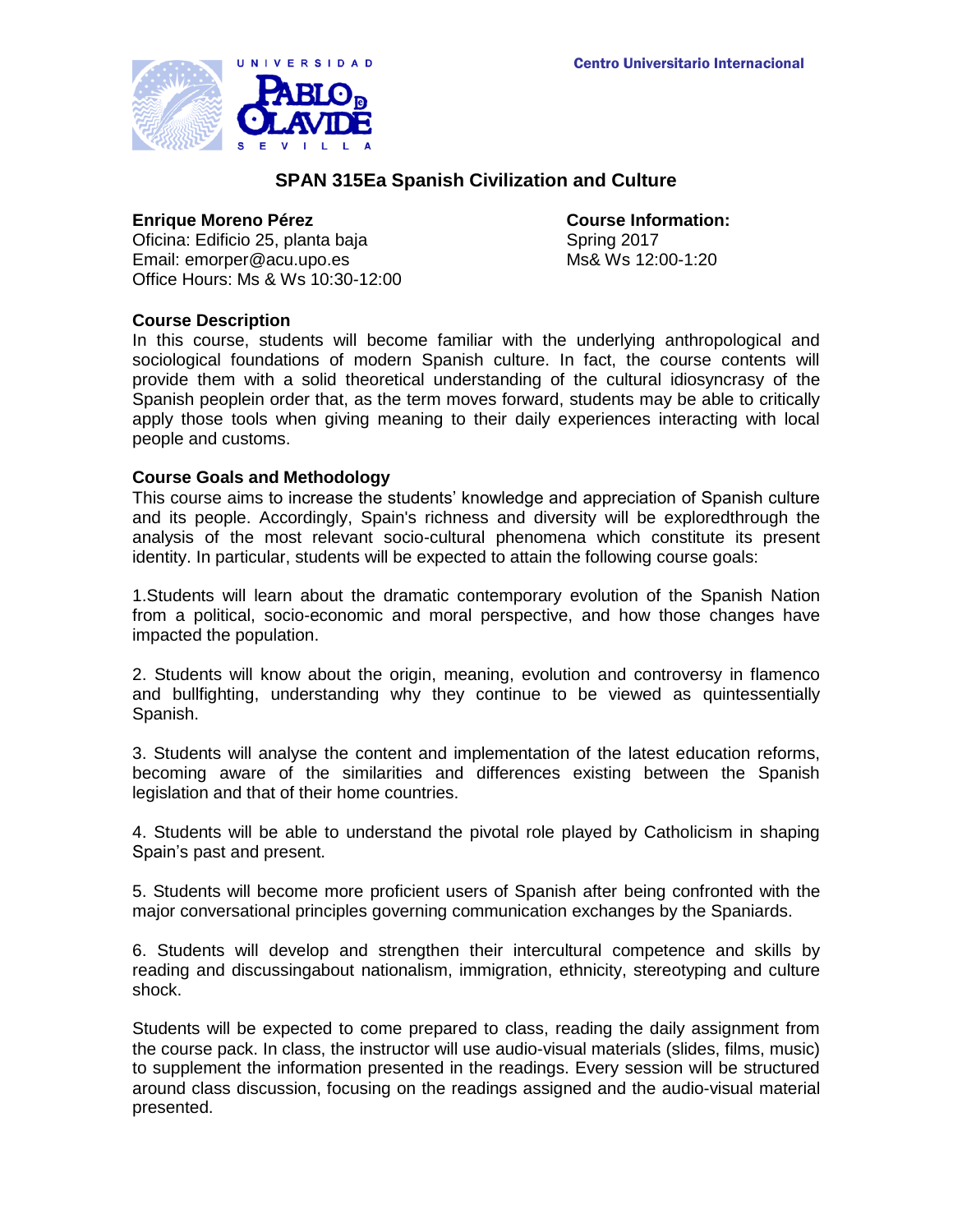

# **SPAN 315Ea Spanish Civilization and Culture**

### **Enrique Moreno Pérez Course Information:**

Oficina: Edificio 25, planta baja Spring 2017 Email: emorper@acu.upo.es Ms& Ws 12:00-1:20 Office Hours: Ms & Ws 10:30-12:00

## **Course Description**

In this course, students will become familiar with the underlying anthropological and sociological foundations of modern Spanish culture. In fact, the course contents will provide them with a solid theoretical understanding of the cultural idiosyncrasy of the Spanish peoplein order that, as the term moves forward, students may be able to critically apply those tools when giving meaning to their daily experiences interacting with local people and customs.

## **Course Goals and Methodology**

This course aims to increase the students' knowledge and appreciation of Spanish culture and its people. Accordingly, Spain's richness and diversity will be exploredthrough the analysis of the most relevant socio-cultural phenomena which constitute its present identity. In particular, students will be expected to attain the following course goals:

1.Students will learn about the dramatic contemporary evolution of the Spanish Nation from a political, socio-economic and moral perspective, and how those changes have impacted the population.

2. Students will know about the origin, meaning, evolution and controversy in flamenco and bullfighting, understanding why they continue to be viewed as quintessentially Spanish.

3. Students will analyse the content and implementation of the latest education reforms, becoming aware of the similarities and differences existing between the Spanish legislation and that of their home countries.

4. Students will be able to understand the pivotal role played by Catholicism in shaping Spain's past and present.

5. Students will become more proficient users of Spanish after being confronted with the major conversational principles governing communication exchanges by the Spaniards.

6. Students will develop and strengthen their intercultural competence and skills by reading and discussingabout nationalism, immigration, ethnicity, stereotyping and culture shock.

Students will be expected to come prepared to class, reading the daily assignment from the course pack. In class, the instructor will use audio-visual materials (slides, films, music) to supplement the information presented in the readings. Every session will be structured around class discussion, focusing on the readings assigned and the audio-visual material presented.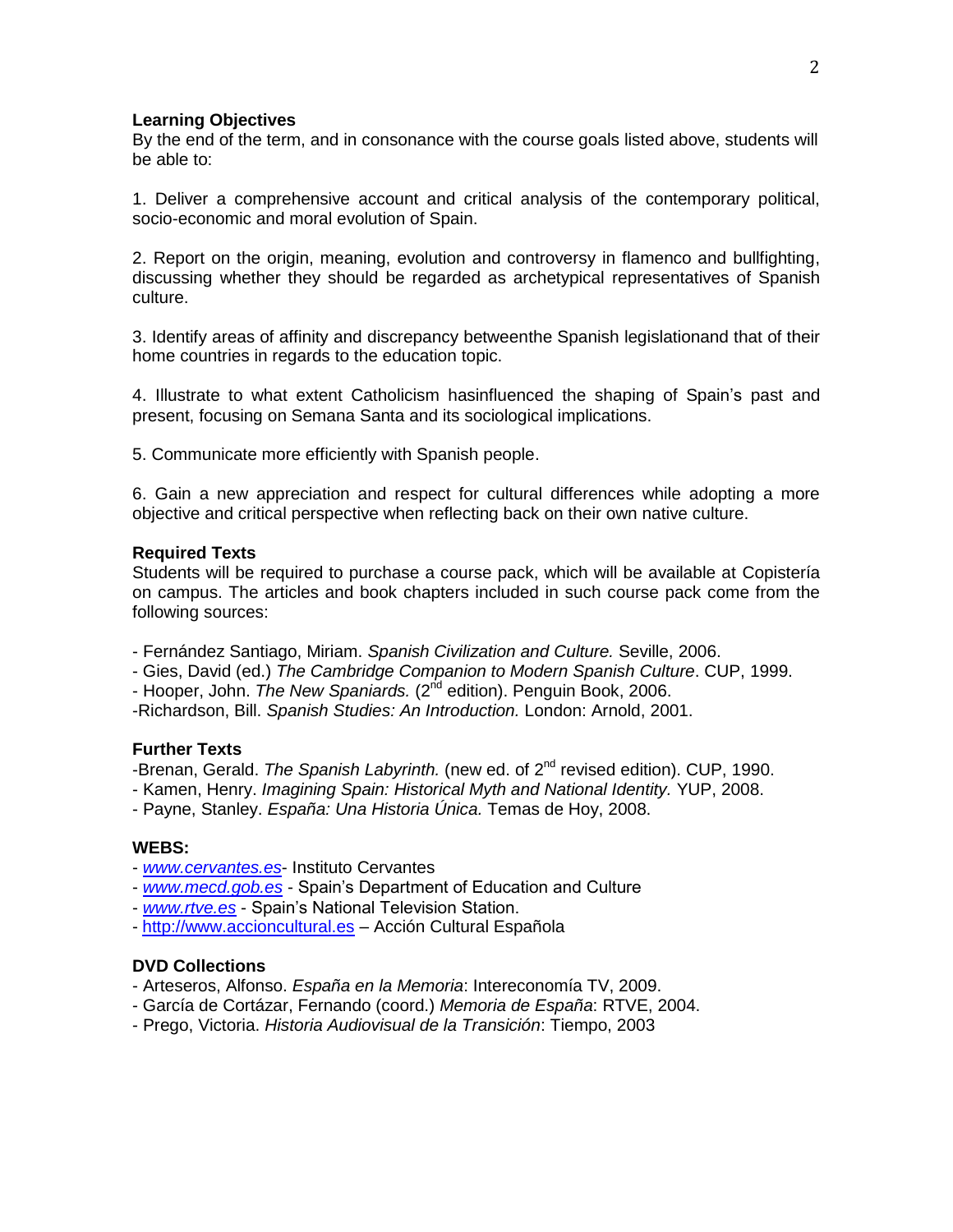### **Learning Objectives**

By the end of the term, and in consonance with the course goals listed above, students will be able to:

1. Deliver a comprehensive account and critical analysis of the contemporary political, socio-economic and moral evolution of Spain.

2. Report on the origin, meaning, evolution and controversy in flamenco and bullfighting, discussing whether they should be regarded as archetypical representatives of Spanish culture.

3. Identify areas of affinity and discrepancy betweenthe Spanish legislationand that of their home countries in regards to the education topic.

4. Illustrate to what extent Catholicism hasinfluenced the shaping of Spain's past and present, focusing on Semana Santa and its sociological implications.

5. Communicate more efficiently with Spanish people.

6. Gain a new appreciation and respect for cultural differences while adopting a more objective and critical perspective when reflecting back on their own native culture.

#### **Required Texts**

Students will be required to purchase a course pack, which will be available at Copistería on campus. The articles and book chapters included in such course pack come from the following sources:

- Fernández Santiago, Miriam. *Spanish Civilization and Culture.* Seville, 2006.

- Gies, David (ed.) *The Cambridge Companion to Modern Spanish Culture*. CUP, 1999.

- Hooper, John. *The New Spaniards.* (2<sup>nd</sup> edition). Penguin Book, 2006.

-Richardson, Bill. *Spanish Studies: An Introduction.* London: Arnold, 2001.

#### **Further Texts**

-Brenan, Gerald. *The Spanish Labyrinth.* (new ed. of 2nd revised edition). CUP, 1990.

- Kamen, Henry. *Imagining Spain: Historical Myth and National Identity.* YUP, 2008.

- Payne, Stanley. *España: Una Historia Única.* Temas de Hoy, 2008.

### **WEBS:**

- *[www.cervantes.es](http://www.cervantes.es/)* Instituto Cervantes
- *[www.mecd.gob.es](http://www.mecd.gob.es/)* Spain's Department of Education and Culture
- *[www.rtve.es](http://www.rtve.es/)* Spain's National Television Station.
- [http://www.accioncultural.es](http://www.accioncultural.es/) Acción Cultural Española

### **DVD Collections**

- Arteseros, Alfonso. *España en la Memoria*: Intereconomía TV, 2009.
- García de Cortázar, Fernando (coord.) *Memoria de España*: RTVE, 2004.
- Prego, Victoria. *Historia Audiovisual de la Transición*: Tiempo, 2003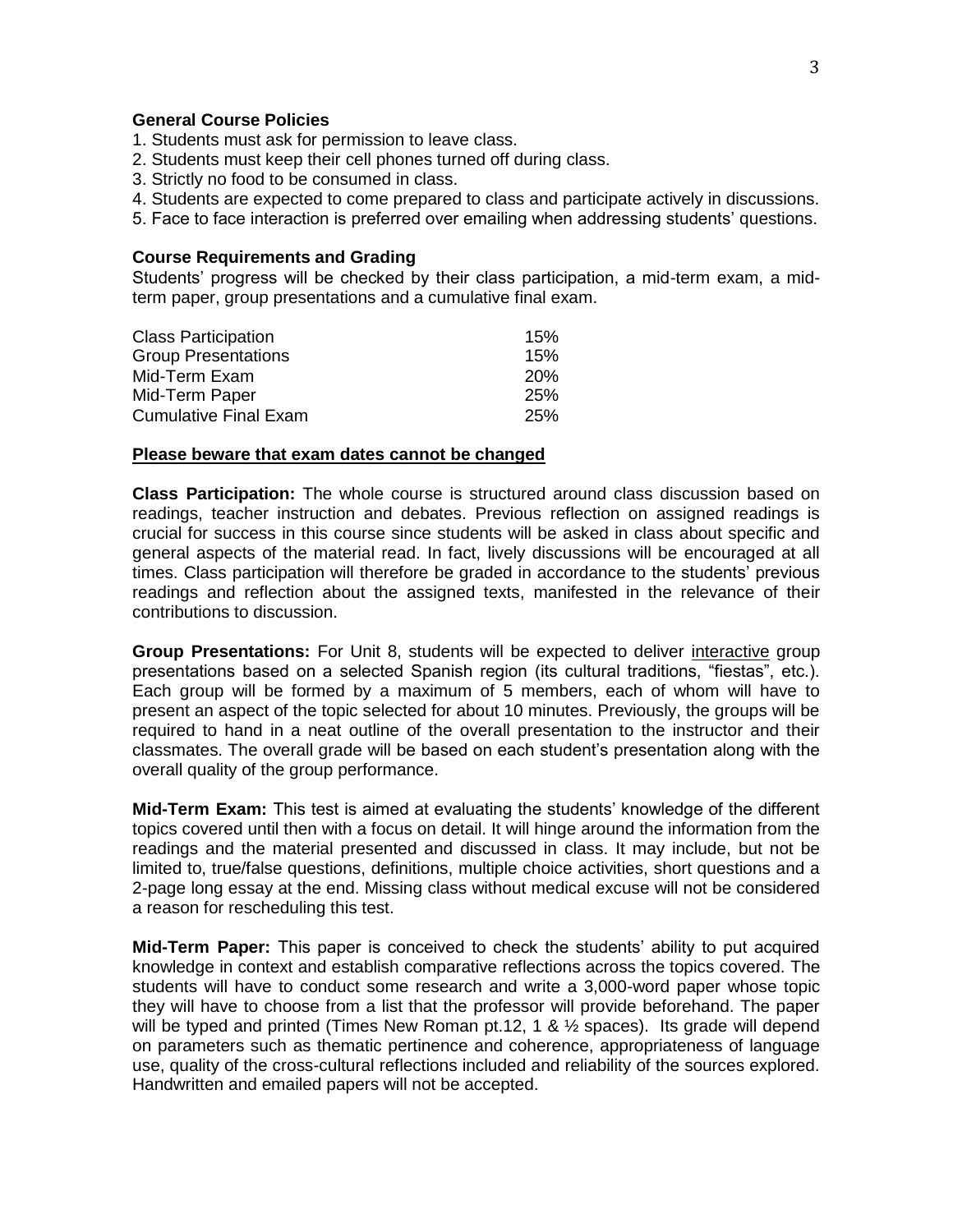### **General Course Policies**

- 1. Students must ask for permission to leave class.
- 2. Students must keep their cell phones turned off during class.
- 3. Strictly no food to be consumed in class.
- 4. Students are expected to come prepared to class and participate actively in discussions.
- 5. Face to face interaction is preferred over emailing when addressing students' questions.

#### **Course Requirements and Grading**

Students' progress will be checked by their class participation, a mid-term exam, a midterm paper, group presentations and a cumulative final exam.

| <b>Class Participation</b>   | 15%        |
|------------------------------|------------|
| <b>Group Presentations</b>   | 15%        |
| Mid-Term Exam                | <b>20%</b> |
| Mid-Term Paper               | 25%        |
| <b>Cumulative Final Exam</b> | 25%        |
|                              |            |

### **Please beware that exam dates cannot be changed**

**Class Participation:** The whole course is structured around class discussion based on readings, teacher instruction and debates. Previous reflection on assigned readings is crucial for success in this course since students will be asked in class about specific and general aspects of the material read. In fact, lively discussions will be encouraged at all times. Class participation will therefore be graded in accordance to the students' previous readings and reflection about the assigned texts, manifested in the relevance of their contributions to discussion.

**Group Presentations:** For Unit 8, students will be expected to deliver interactive group presentations based on a selected Spanish region (its cultural traditions, "fiestas", etc.). Each group will be formed by a maximum of 5 members, each of whom will have to present an aspect of the topic selected for about 10 minutes. Previously, the groups will be required to hand in a neat outline of the overall presentation to the instructor and their classmates. The overall grade will be based on each student's presentation along with the overall quality of the group performance.

**Mid-Term Exam:** This test is aimed at evaluating the students' knowledge of the different topics covered until then with a focus on detail. It will hinge around the information from the readings and the material presented and discussed in class. It may include, but not be limited to, true/false questions, definitions, multiple choice activities, short questions and a 2-page long essay at the end. Missing class without medical excuse will not be considered a reason for rescheduling this test.

**Mid-Term Paper:** This paper is conceived to check the students' ability to put acquired knowledge in context and establish comparative reflections across the topics covered. The students will have to conduct some research and write a 3,000-word paper whose topic they will have to choose from a list that the professor will provide beforehand. The paper will be typed and printed (Times New Roman pt.12, 1 &  $\frac{1}{2}$  spaces). Its grade will depend on parameters such as thematic pertinence and coherence, appropriateness of language use, quality of the cross-cultural reflections included and reliability of the sources explored. Handwritten and emailed papers will not be accepted.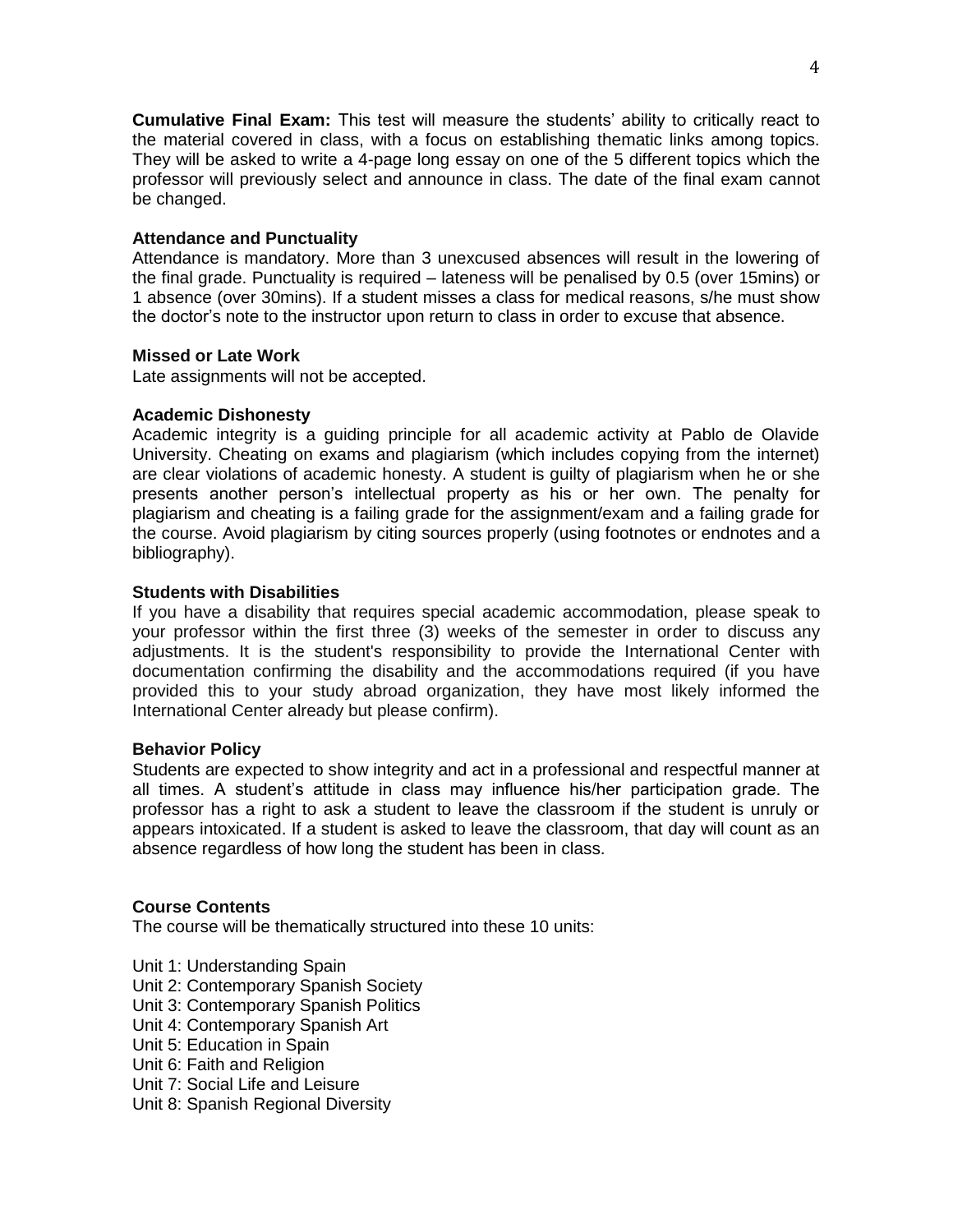**Cumulative Final Exam:** This test will measure the students' ability to critically react to the material covered in class, with a focus on establishing thematic links among topics. They will be asked to write a 4-page long essay on one of the 5 different topics which the professor will previously select and announce in class. The date of the final exam cannot be changed.

## **Attendance and Punctuality**

Attendance is mandatory. More than 3 unexcused absences will result in the lowering of the final grade. Punctuality is required – lateness will be penalised by 0.5 (over 15mins) or 1 absence (over 30mins). If a student misses a class for medical reasons, s/he must show the doctor's note to the instructor upon return to class in order to excuse that absence.

## **Missed or Late Work**

Late assignments will not be accepted.

## **Academic Dishonesty**

Academic integrity is a guiding principle for all academic activity at Pablo de Olavide University. Cheating on exams and plagiarism (which includes copying from the internet) are clear violations of academic honesty. A student is guilty of plagiarism when he or she presents another person's intellectual property as his or her own. The penalty for plagiarism and cheating is a failing grade for the assignment/exam and a failing grade for the course. Avoid plagiarism by citing sources properly (using footnotes or endnotes and a bibliography).

## **Students with Disabilities**

If you have a disability that requires special academic accommodation, please speak to your professor within the first three (3) weeks of the semester in order to discuss any adjustments. It is the student's responsibility to provide the International Center with documentation confirming the disability and the accommodations required (if you have provided this to your study abroad organization, they have most likely informed the International Center already but please confirm).

# **Behavior Policy**

Students are expected to show integrity and act in a professional and respectful manner at all times. A student's attitude in class may influence his/her participation grade. The professor has a right to ask a student to leave the classroom if the student is unruly or appears intoxicated. If a student is asked to leave the classroom, that day will count as an absence regardless of how long the student has been in class.

# **Course Contents**

The course will be thematically structured into these 10 units:

Unit 1: Understanding Spain Unit 2: Contemporary Spanish Society Unit 3: Contemporary Spanish Politics Unit 4: Contemporary Spanish Art Unit 5: Education in Spain Unit 6: Faith and Religion Unit 7: Social Life and Leisure Unit 8: Spanish Regional Diversity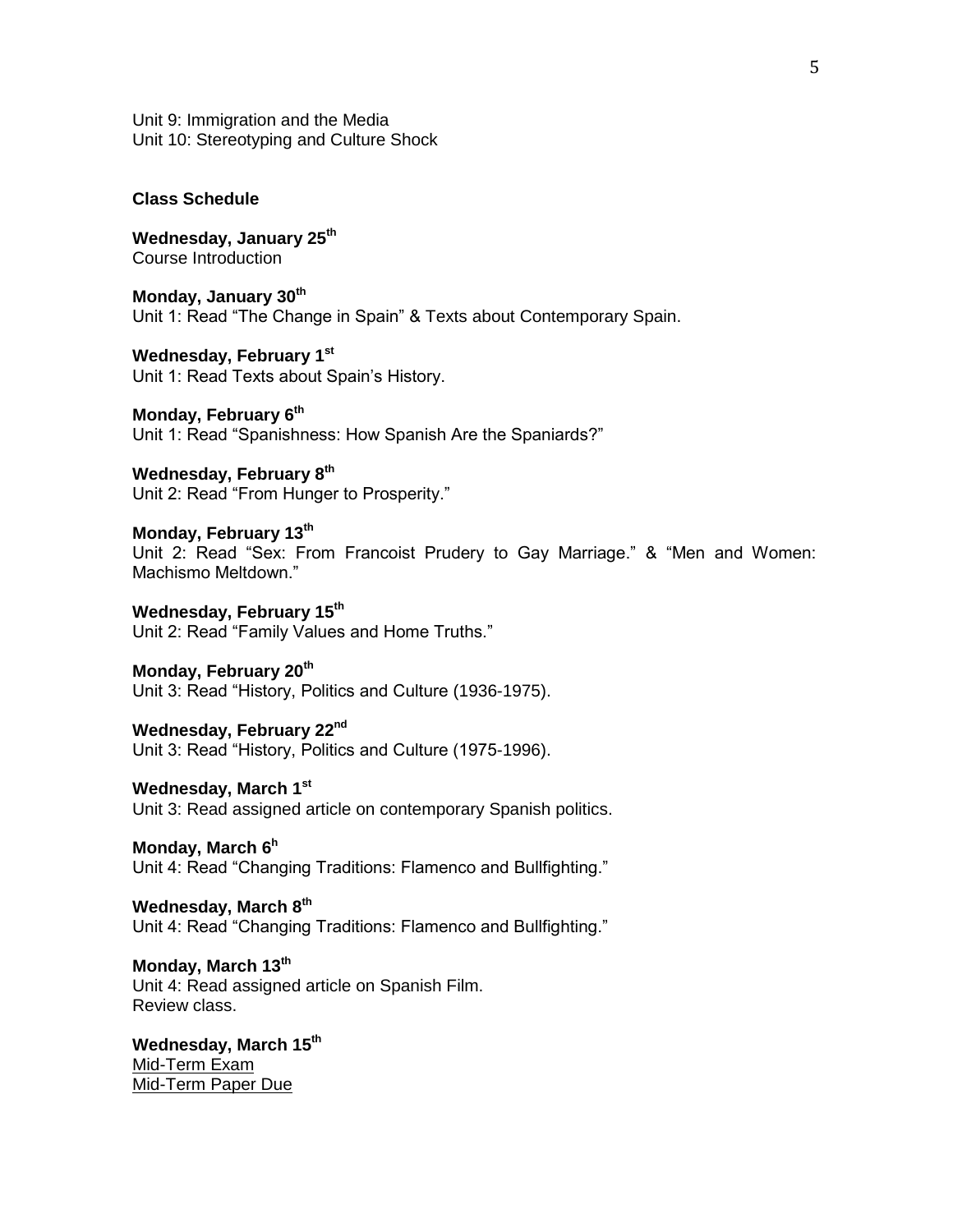Unit 9: Immigration and the Media Unit 10: Stereotyping and Culture Shock

**Class Schedule**

**Wednesday, January 25th** Course Introduction

**Monday, January 30th** Unit 1: Read "The Change in Spain" & Texts about Contemporary Spain.

**Wednesday, February 1 st** Unit 1: Read Texts about Spain's History.

**Monday, February 6 th** Unit 1: Read "Spanishness: How Spanish Are the Spaniards?"

**Wednesday, February 8 th** Unit 2: Read "From Hunger to Prosperity."

**Monday, February 13 th** Unit 2: Read "Sex: From Francoist Prudery to Gay Marriage." & "Men and Women: Machismo Meltdown."

**Wednesday, February 15 th** Unit 2: Read "Family Values and Home Truths."

**Monday, February 20 th** Unit 3: Read "History, Politics and Culture (1936-1975).

**Wednesday, February 22nd** Unit 3: Read "History, Politics and Culture (1975-1996).

**Wednesday, March 1 st** Unit 3: Read assigned article on contemporary Spanish politics.

**Monday, March 6<sup>h</sup>** Unit 4: Read "Changing Traditions: Flamenco and Bullfighting."

**Wednesday, March 8th** Unit 4: Read "Changing Traditions: Flamenco and Bullfighting."

**Monday, March 13th** Unit 4: Read assigned article on Spanish Film. Review class.

**Wednesday, March 15th** Mid-Term Exam Mid-Term Paper Due